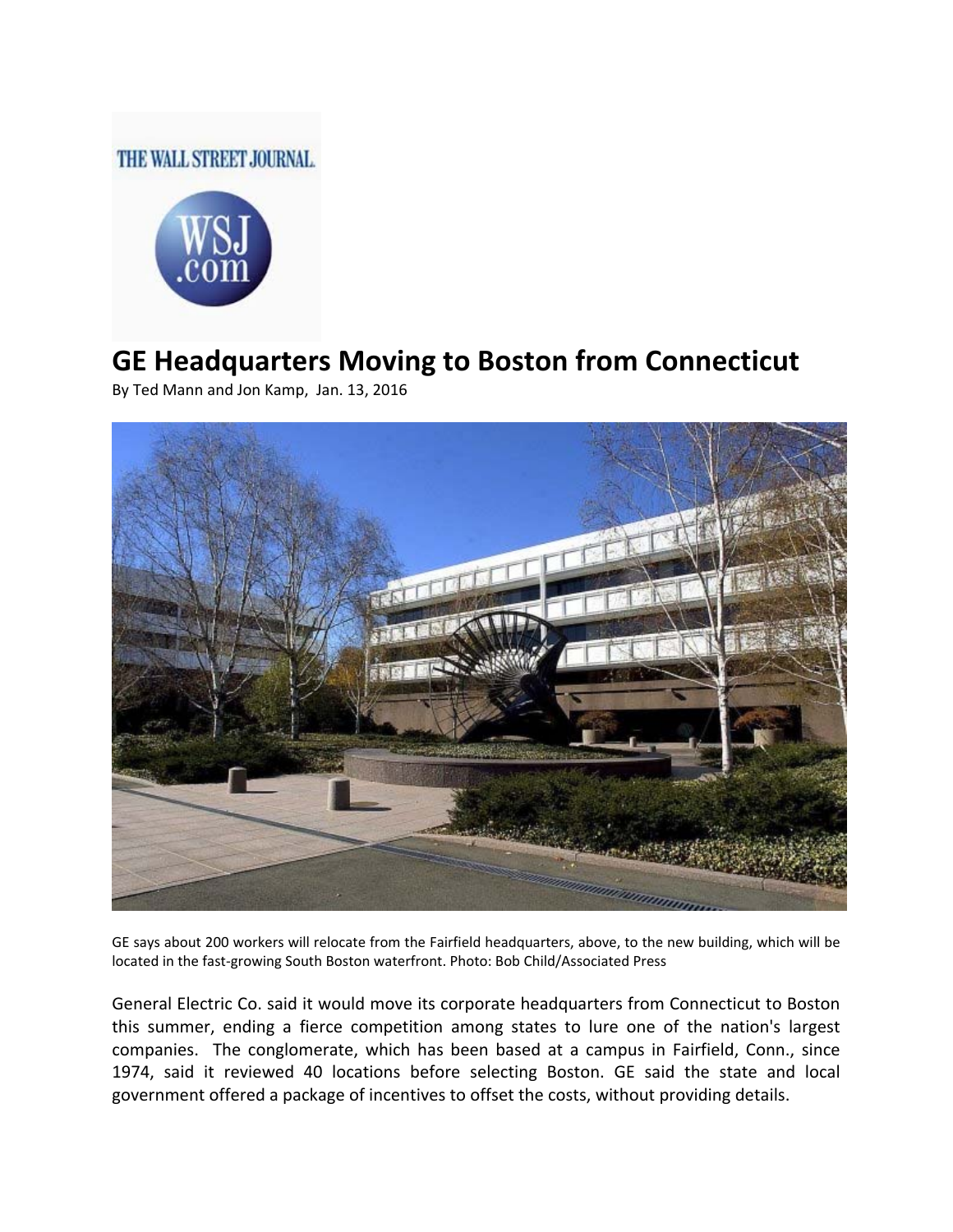## THE WALL STREET JOURNAL.



## **GE Headquarters Moving to Boston from Connecticut**

By Ted Mann and Jon Kamp, Jan. 13, 2016



GE says about 200 workers will relocate from the Fairfield headquarters, above, to the new building, which will be located in the fast‐growing South Boston waterfront. Photo: Bob Child/Associated Press

General Electric Co. said it would move its corporate headquarters from Connecticut to Boston this summer, ending a fierce competition among states to lure one of the nation's largest companies. The conglomerate, which has been based at a campus in Fairfield, Conn., since 1974, said it reviewed 40 locations before selecting Boston. GE said the state and local government offered a package of incentives to offset the costs, without providing details.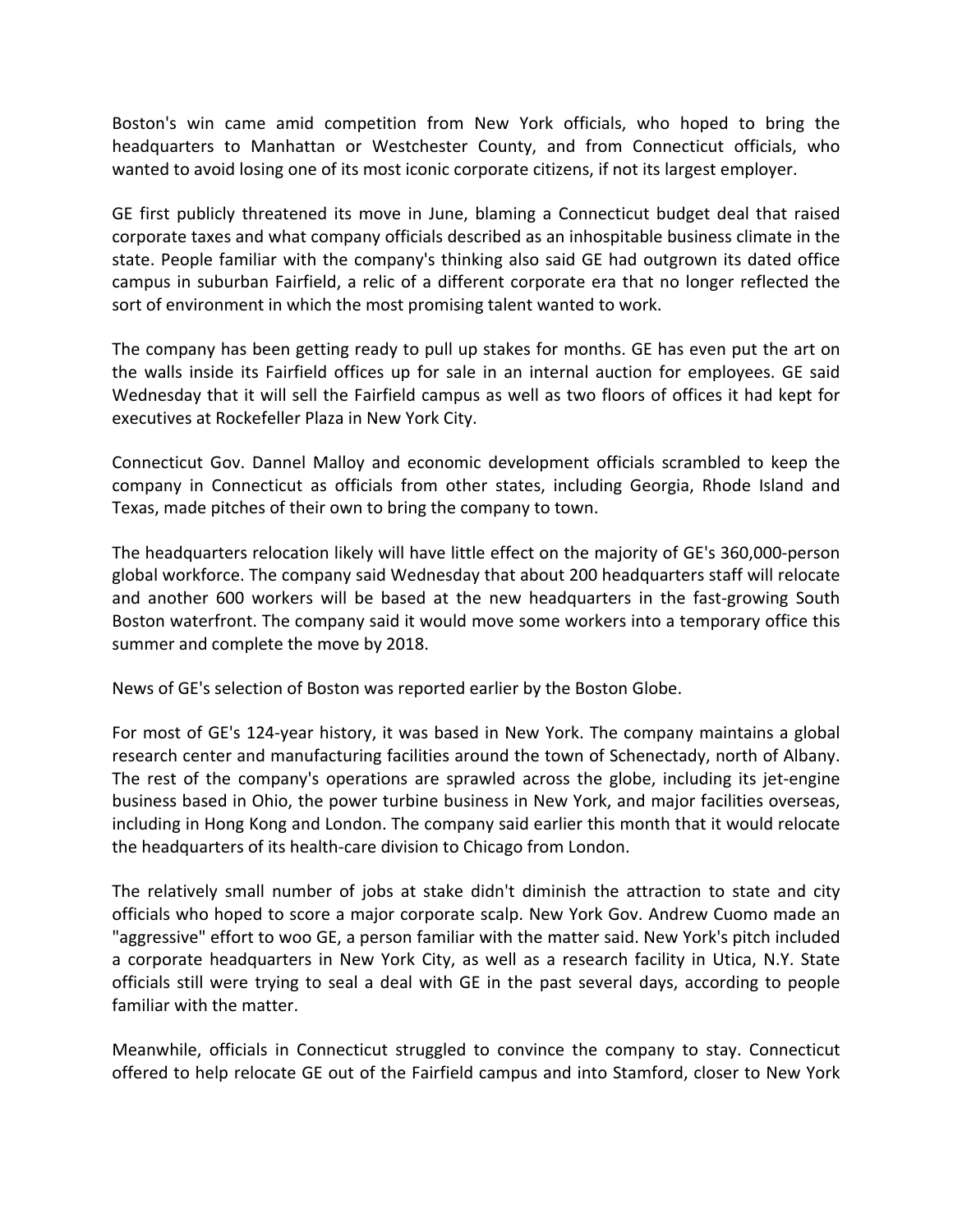Boston's win came amid competition from New York officials, who hoped to bring the headquarters to Manhattan or Westchester County, and from Connecticut officials, who wanted to avoid losing one of its most iconic corporate citizens, if not its largest employer.

GE first publicly threatened its move in June, blaming a Connecticut budget deal that raised corporate taxes and what company officials described as an inhospitable business climate in the state. People familiar with the company's thinking also said GE had outgrown its dated office campus in suburban Fairfield, a relic of a different corporate era that no longer reflected the sort of environment in which the most promising talent wanted to work.

The company has been getting ready to pull up stakes for months. GE has even put the art on the walls inside its Fairfield offices up for sale in an internal auction for employees. GE said Wednesday that it will sell the Fairfield campus as well as two floors of offices it had kept for executives at Rockefeller Plaza in New York City.

Connecticut Gov. Dannel Malloy and economic development officials scrambled to keep the company in Connecticut as officials from other states, including Georgia, Rhode Island and Texas, made pitches of their own to bring the company to town.

The headquarters relocation likely will have little effect on the majority of GE's 360,000‐person global workforce. The company said Wednesday that about 200 headquarters staff will relocate and another 600 workers will be based at the new headquarters in the fast-growing South Boston waterfront. The company said it would move some workers into a temporary office this summer and complete the move by 2018.

News of GE's selection of Boston was reported earlier by the Boston Globe.

For most of GE's 124‐year history, it was based in New York. The company maintains a global research center and manufacturing facilities around the town of Schenectady, north of Albany. The rest of the company's operations are sprawled across the globe, including its jet‐engine business based in Ohio, the power turbine business in New York, and major facilities overseas, including in Hong Kong and London. The company said earlier this month that it would relocate the headquarters of its health‐care division to Chicago from London.

The relatively small number of jobs at stake didn't diminish the attraction to state and city officials who hoped to score a major corporate scalp. New York Gov. Andrew Cuomo made an "aggressive" effort to woo GE, a person familiar with the matter said. New York's pitch included a corporate headquarters in New York City, as well as a research facility in Utica, N.Y. State officials still were trying to seal a deal with GE in the past several days, according to people familiar with the matter.

Meanwhile, officials in Connecticut struggled to convince the company to stay. Connecticut offered to help relocate GE out of the Fairfield campus and into Stamford, closer to New York